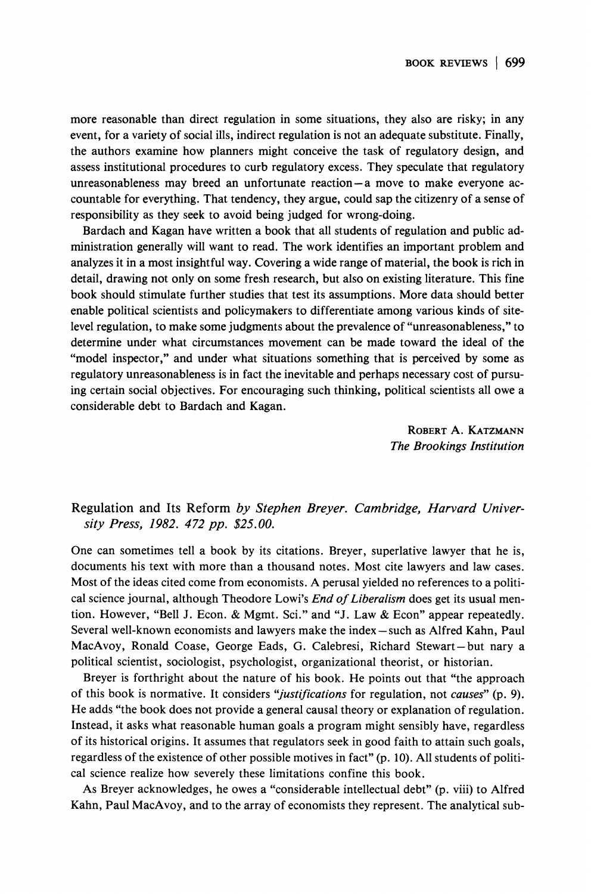**more reasonable than direct regulation in some situations, they also are risky; in any event, for a variety of social ills, indirect regulation is not an adequate substitute. Finally, the authors examine how planners might conceive the task of regulatory design, and assess institutional procedures to curb regulatory excess. They speculate that regulatory unreasonableness may breed an unfortunate reaction-a move to make everyone accountable for everything. That tendency, they argue, could sap the citizenry of a sense of responsibility as they seek to avoid being judged for wrong-doing.** 

**Bardach and Kagan have written a book that all students of regulation and public administration generally will want to read. The work identifies an important problem and analyzes it in a most insightful way. Covering a wide range of material, the book is rich in detail, drawing not only on some fresh research, but also on existing literature. This fine book should stimulate further studies that test its assumptions. More data should better enable political scientists and policymakers to differentiate among various kinds of sitelevel regulation, to make some judgments about the prevalence of "unreasonableness," to determine under what circumstances movement can be made toward the ideal of the "model inspector," and under what situations something that is perceived by some as regulatory unreasonableness is in fact the inevitable and perhaps necessary cost of pursuing certain social objectives. For encouraging such thinking, political scientists all owe a considerable debt to Bardach and Kagan.** 

> **ROBERT A. KATZMANN The Brookings Institution**

## **Regulation and Its Reform by Stephen Breyer. Cambridge, Harvard University Press, 1982. 472 pp. \$25. 00.**

**One can sometimes tell a book by its citations. Breyer, superlative lawyer that he is, documents his text with more than a thousand notes. Most cite lawyers and law cases. Most of the ideas cited come from economists. A perusal yielded no references to a political science journal, although Theodore Lowi's End of Liberalism does get its usual mention. However, "Bell J. Econ. & Mgmt. Sci." and "J. Law & Econ" appear repeatedly. Several well-known economists and lawyers make the index - such as Alfred Kahn, Paul MacAvoy, Ronald Coase, George Eads, G. Calebresi, Richard Stewart-but nary a political scientist, sociologist, psychologist, organizational theorist, or historian.** 

**Breyer is forthright about the nature of his book. He points out that "the approach of this book is normative. It considers "justifications for regulation, not causes" (p. 9). He adds "the book does not provide a general causal theory or explanation of regulation. Instead, it asks what reasonable human goals a program might sensibly have, regardless of its historical origins. It assumes that regulators seek in good faith to attain such goals, regardless of the existence of other possible motives in fact" (p. 10). All students of political science realize how severely these limitations confine this book.** 

**As Breyer acknowledges, he owes a "considerable intellectual debt" (p. viii) to Alfred Kahn, Paul MacAvoy, and to the array of economists they represent. The analytical sub-**